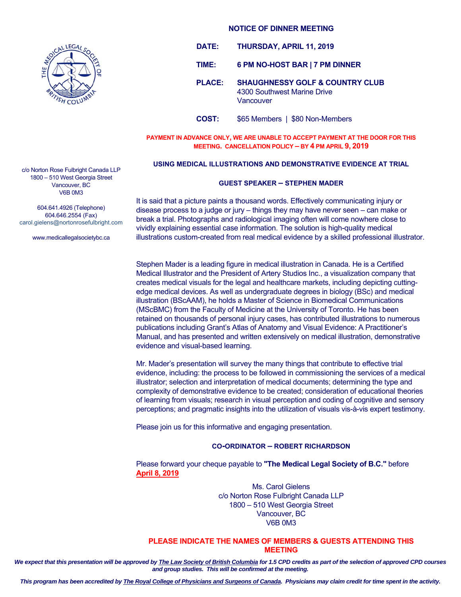

- **DATE: THURSDAY, APRIL 11, 2019**
- **TIME: 6 PM NO-HOST BAR | 7 PM DINNER**
- **PLACE: SHAUGHNESSY GOLF & COUNTRY CLUB**  4300 Southwest Marine Drive Vancouver
- **COST:** \$65 Members | \$80 Non-Members

**PAYMENT IN ADVANCE ONLY, WE ARE UNABLE TO ACCEPT PAYMENT AT THE DOOR FOR THIS MEETING. CANCELLATION POLICY – BY 4 PM APRIL 9, 2019** 

## **USING MEDICAL ILLUSTRATIONS AND DEMONSTRATIVE EVIDENCE AT TRIAL**

## **GUEST SPEAKER – STEPHEN MADER**

It is said that a picture paints a thousand words. Effectively communicating injury or disease process to a judge or jury – things they may have never seen – can make or break a trial. Photographs and radiological imaging often will come nowhere close to vividly explaining essential case information. The solution is high-quality medical illustrations custom-created from real medical evidence by a skilled professional illustrator.

Stephen Mader is a leading figure in medical illustration in Canada. He is a Certified Medical Illustrator and the President of Artery Studios Inc., a visualization company that creates medical visuals for the legal and healthcare markets, including depicting cuttingedge medical devices. As well as undergraduate degrees in biology (BSc) and medical illustration (BScAAM), he holds a Master of Science in Biomedical Communications (MScBMC) from the Faculty of Medicine at the University of Toronto. He has been retained on thousands of personal injury cases, has contributed illustrations to numerous publications including Grant's Atlas of Anatomy and Visual Evidence: A Practitioner's Manual, and has presented and written extensively on medical illustration, demonstrative evidence and visual-based learning.

Mr. Mader's presentation will survey the many things that contribute to effective trial evidence, including: the process to be followed in commissioning the services of a medical illustrator; selection and interpretation of medical documents; determining the type and complexity of demonstrative evidence to be created; consideration of educational theories of learning from visuals; research in visual perception and coding of cognitive and sensory perceptions; and pragmatic insights into the utilization of visuals vis-à-vis expert testimony.

Please join us for this informative and engaging presentation.

## **CO-ORDINATOR – ROBERT RICHARDSON**

Please forward your cheque payable to **"The Medical Legal Society of B.C."** before **April 8, 2019**

> Ms. Carol Gielens c/o Norton Rose Fulbright Canada LLP 1800 – 510 West Georgia Street Vancouver, BC V6B 0M3

## **PLEASE INDICATE THE NAMES OF MEMBERS & GUESTS ATTENDING THIS MEETING**

*We expect that this presentation will be approved by The Law Society of British Columbia for 1.5 CPD credits as part of the selection of approved CPD courses and group studies. This will be confirmed at the meeting.* 

c/o Norton Rose Fulbright Canada LLP 1800 – 510 West Georgia Street Vancouver, BC V6B 0M3

604.641.4926 (Telephone) 604.646.2554 (Fax) carol.gielens@nortonrosefulbright.com

www.medicallegalsocietybc.ca